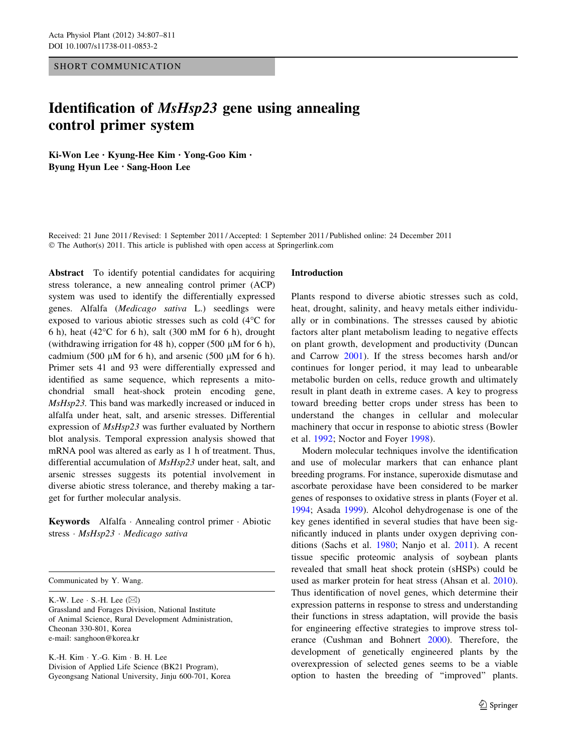# SHORT COMMUNICATION

# Identification of MsHsp23 gene using annealing control primer system

Ki-Won Lee • Kyung-Hee Kim • Yong-Goo Kim • Byung Hyun Lee • Sang-Hoon Lee

Received: 21 June 2011 / Revised: 1 September 2011 / Accepted: 1 September 2011 / Published online: 24 December 2011 © The Author(s) 2011. This article is published with open access at Springerlink.com

Abstract To identify potential candidates for acquiring stress tolerance, a new annealing control primer (ACP) system was used to identify the differentially expressed genes. Alfalfa (Medicago sativa L.) seedlings were exposed to various abiotic stresses such as cold  $(4^{\circ}C)$  for 6 h), heat (42 $\degree$ C for 6 h), salt (300 mM for 6 h), drought (withdrawing irrigation for 48 h), copper (500  $\mu$ M for 6 h), cadmium (500  $\mu$ M for 6 h), and arsenic (500  $\mu$ M for 6 h). Primer sets 41 and 93 were differentially expressed and identified as same sequence, which represents a mitochondrial small heat-shock protein encoding gene, MsHsp23. This band was markedly increased or induced in alfalfa under heat, salt, and arsenic stresses. Differential expression of MsHsp23 was further evaluated by Northern blot analysis. Temporal expression analysis showed that mRNA pool was altered as early as 1 h of treatment. Thus, differential accumulation of MsHsp23 under heat, salt, and arsenic stresses suggests its potential involvement in diverse abiotic stress tolerance, and thereby making a target for further molecular analysis.

Keywords Alfalfa - Annealing control primer - Abiotic stress · MsHsp23 · Medicago sativa

Communicated by Y. Wang.

K.-W. Lee  $\cdot$  S.-H. Lee ( $\boxtimes$ ) Grassland and Forages Division, National Institute of Animal Science, Rural Development Administration, Cheonan 330-801, Korea e-mail: sanghoon@korea.kr

K.-H. Kim - Y.-G. Kim - B. H. Lee Division of Applied Life Science (BK21 Program), Gyeongsang National University, Jinju 600-701, Korea

#### Introduction

Plants respond to diverse abiotic stresses such as cold, heat, drought, salinity, and heavy metals either individually or in combinations. The stresses caused by abiotic factors alter plant metabolism leading to negative effects on plant growth, development and productivity (Duncan and Carrow [2001\)](#page-3-0). If the stress becomes harsh and/or continues for longer period, it may lead to unbearable metabolic burden on cells, reduce growth and ultimately result in plant death in extreme cases. A key to progress toward breeding better crops under stress has been to understand the changes in cellular and molecular machinery that occur in response to abiotic stress (Bowler et al. [1992;](#page-3-0) Noctor and Foyer [1998\)](#page-4-0).

Modern molecular techniques involve the identification and use of molecular markers that can enhance plant breeding programs. For instance, superoxide dismutase and ascorbate peroxidase have been considered to be marker genes of responses to oxidative stress in plants (Foyer et al. [1994](#page-3-0); Asada [1999](#page-3-0)). Alcohol dehydrogenase is one of the key genes identified in several studies that have been significantly induced in plants under oxygen depriving conditions (Sachs et al. [1980](#page-4-0); Nanjo et al. [2011\)](#page-3-0). A recent tissue specific proteomic analysis of soybean plants revealed that small heat shock protein (sHSPs) could be used as marker protein for heat stress (Ahsan et al. [2010](#page-3-0)). Thus identification of novel genes, which determine their expression patterns in response to stress and understanding their functions in stress adaptation, will provide the basis for engineering effective strategies to improve stress tolerance (Cushman and Bohnert [2000](#page-3-0)). Therefore, the development of genetically engineered plants by the overexpression of selected genes seems to be a viable option to hasten the breeding of ''improved'' plants.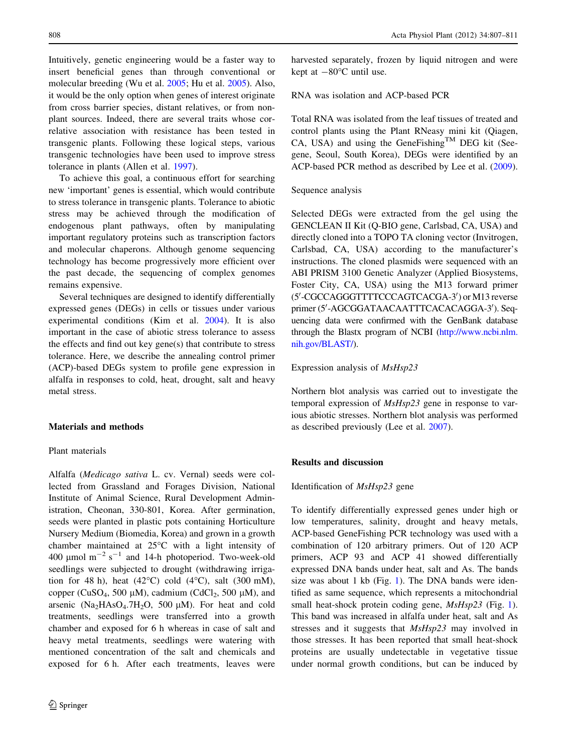Intuitively, genetic engineering would be a faster way to insert beneficial genes than through conventional or molecular breeding (Wu et al. [2005](#page-4-0); Hu et al. [2005](#page-3-0)). Also, it would be the only option when genes of interest originate from cross barrier species, distant relatives, or from nonplant sources. Indeed, there are several traits whose correlative association with resistance has been tested in transgenic plants. Following these logical steps, various transgenic technologies have been used to improve stress tolerance in plants (Allen et al. [1997](#page-3-0)).

To achieve this goal, a continuous effort for searching new 'important' genes is essential, which would contribute to stress tolerance in transgenic plants. Tolerance to abiotic stress may be achieved through the modification of endogenous plant pathways, often by manipulating important regulatory proteins such as transcription factors and molecular chaperons. Although genome sequencing technology has become progressively more efficient over the past decade, the sequencing of complex genomes remains expensive.

Several techniques are designed to identify differentially expressed genes (DEGs) in cells or tissues under various experimental conditions (Kim et al. [2004](#page-3-0)). It is also important in the case of abiotic stress tolerance to assess the effects and find out key gene(s) that contribute to stress tolerance. Here, we describe the annealing control primer (ACP)-based DEGs system to profile gene expression in alfalfa in responses to cold, heat, drought, salt and heavy metal stress.

# Materials and methods

## Plant materials

Alfalfa (Medicago sativa L. cv. Vernal) seeds were collected from Grassland and Forages Division, National Institute of Animal Science, Rural Development Administration, Cheonan, 330-801, Korea. After germination, seeds were planted in plastic pots containing Horticulture Nursery Medium (Biomedia, Korea) and grown in a growth chamber maintained at  $25^{\circ}$ C with a light intensity of 400  $\mu$ mol m<sup>-2</sup> s<sup>-1</sup> and 14-h photoperiod. Two-week-old seedlings were subjected to drought (withdrawing irrigation for 48 h), heat  $(42^{\circ}C)$  cold  $(4^{\circ}C)$ , salt  $(300 \text{ mM})$ , copper (CuSO<sub>4</sub>, 500 µM), cadmium (CdCl<sub>2</sub>, 500 µM), and arsenic  $(Na_2HAsO_4.7H_2O, 500 \mu M)$ . For heat and cold treatments, seedlings were transferred into a growth chamber and exposed for 6 h whereas in case of salt and heavy metal treatments, seedlings were watering with mentioned concentration of the salt and chemicals and exposed for 6 h. After each treatments, leaves were harvested separately, frozen by liquid nitrogen and were kept at  $-80^{\circ}$ C until use.

#### RNA was isolation and ACP-based PCR

Total RNA was isolated from the leaf tissues of treated and control plants using the Plant RNeasy mini kit (Qiagen, CA, USA) and using the GeneFishing<sup>TM</sup> DEG kit (Seegene, Seoul, South Korea), DEGs were identified by an ACP-based PCR method as described by Lee et al. [\(2009](#page-3-0)).

## Sequence analysis

Selected DEGs were extracted from the gel using the GENCLEAN II Kit (Q-BIO gene, Carlsbad, CA, USA) and directly cloned into a TOPO TA cloning vector (Invitrogen, Carlsbad, CA, USA) according to the manufacturer's instructions. The cloned plasmids were sequenced with an ABI PRISM 3100 Genetic Analyzer (Applied Biosystems, Foster City, CA, USA) using the M13 forward primer (5'-CGCCAGGGTTTTCCCAGTCACGA-3') or M13 reverse primer (5'-AGCGGATAACAATTTCACACAGGA-3'). Sequencing data were confirmed with the GenBank database through the Blastx program of NCBI ([http://www.ncbi.nlm.](http://www.ncbi.nlm.nih.gov/BLAST/) [nih.gov/BLAST/](http://www.ncbi.nlm.nih.gov/BLAST/)).

#### Expression analysis of MsHsp23

Northern blot analysis was carried out to investigate the temporal expression of MsHsp23 gene in response to various abiotic stresses. Northern blot analysis was performed as described previously (Lee et al. [2007](#page-3-0)).

## Results and discussion

## Identification of MsHsp23 gene

To identify differentially expressed genes under high or low temperatures, salinity, drought and heavy metals, ACP-based GeneFishing PCR technology was used with a combination of 120 arbitrary primers. Out of 120 ACP primers, ACP 93 and ACP 41 showed differentially expressed DNA bands under heat, salt and As. The bands size was about 1 kb (Fig. [1\)](#page-2-0). The DNA bands were identified as same sequence, which represents a mitochondrial small heat-shock protein coding gene,  $MsHsp23$  (Fig. [1](#page-2-0)). This band was increased in alfalfa under heat, salt and As stresses and it suggests that MsHsp23 may involved in those stresses. It has been reported that small heat-shock proteins are usually undetectable in vegetative tissue under normal growth conditions, but can be induced by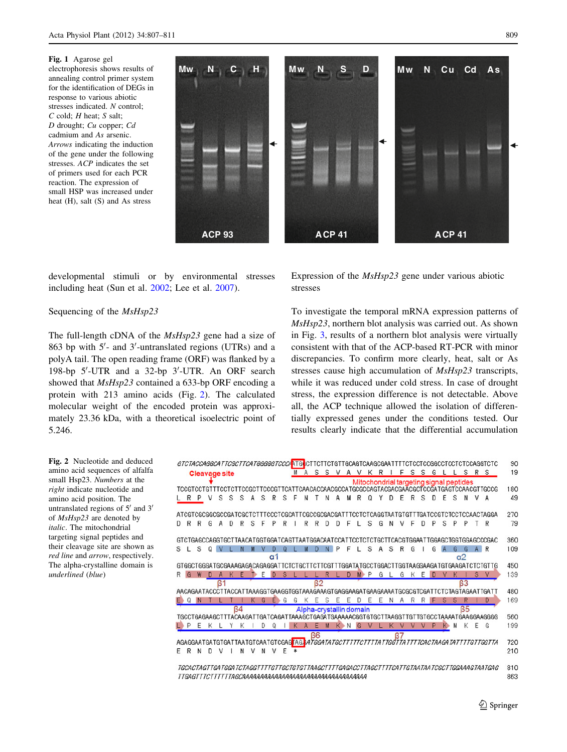<span id="page-2-0"></span>Fig. 1 Agarose gel electrophoresis shows results of annealing control primer system for the identification of DEGs in response to various abiotic stresses indicated. N control;  $C$  cold;  $H$  heat;  $S$  salt; D drought; Cu copper; Cd cadmium and As arsenic. Arrows indicating the induction of the gene under the following stresses. ACP indicates the set of primers used for each PCR reaction. The expression of small HSP was increased under heat (H), salt (S) and As stress



developmental stimuli or by environmental stresses including heat (Sun et al. [2002](#page-4-0); Lee et al. [2007](#page-3-0)).

# Sequencing of the MsHsp23

The full-length cDNA of the MsHsp23 gene had a size of 863 bp with 5'- and 3'-untranslated regions (UTRs) and a polyA tail. The open reading frame (ORF) was flanked by a 198-bp 5'-UTR and a 32-bp 3'-UTR. An ORF search showed that MsHsp23 contained a 633-bp ORF encoding a protein with 213 amino acids (Fig. 2). The calculated molecular weight of the encoded protein was approximately 23.36 kDa, with a theoretical isoelectric point of 5.246.

Expression of the MsHsp23 gene under various abiotic stresses

To investigate the temporal mRNA expression patterns of MsHsp23, northern blot analysis was carried out. As shown in Fig. [3](#page-3-0), results of a northern blot analysis were virtually consistent with that of the ACP-based RT-PCR with minor discrepancies. To confirm more clearly, heat, salt or As stresses cause high accumulation of MsHsp23 transcripts, while it was reduced under cold stress. In case of drought stress, the expression difference is not detectable. Above all, the ACP technique allowed the isolation of differentially expressed genes under the conditions tested. Our results clearly indicate that the differential accumulation

Fig. 2 Nucleotide and deduced amino acid sequences of alfalfa small Hsp23. Numbers at the right indicate nucleotide and amino acid position. The untranslated regions of  $5'$  and  $3'$ of MsHsp23 are denoted by italic. The mitochondrial targeting signal peptides and their cleavage site are shown as red line and arrow, respectively. The alpha-crystalline domain is underlined (blue)

|   |   |   |                      |   |    |   |   |                                                                 |    |        |                         |   |   |    |   |   |   |     |   |   |    |   |              |   |                                         |   | GTCTACCAGGCATTCGCTTCATGGGGGTCCCALTGCCTTCTTCTGTTGCAGTCAAGCGAATTTTCTCCCCGGCCTCCTCTCCAGGTCTC                    |     |
|---|---|---|----------------------|---|----|---|---|-----------------------------------------------------------------|----|--------|-------------------------|---|---|----|---|---|---|-----|---|---|----|---|--------------|---|-----------------------------------------|---|--------------------------------------------------------------------------------------------------------------|-----|
|   |   |   | <b>Cleavage site</b> |   |    |   |   |                                                                 |    |        | S.                      | S | v |    |   |   | R |     |   | s | S  | G |              |   | S.                                      |   | R S                                                                                                          |     |
|   |   |   |                      |   |    |   |   |                                                                 |    |        |                         |   |   |    |   |   |   |     |   |   |    |   |              |   | Mitochondrial targeting signal peptides |   | TCCGTCCTGTTTCCTCTCCGCTTCCCGTTCATTCAACACCAACGCCATGCGCCAGTACGACGAACGCTCCGATGAGTCCAACGTTGCCG                    | 180 |
| R | P |   | S                    | S | S  |   | s | R                                                               | S  | F      |                         |   |   |    |   | ω |   | n   | F | R | S  | n | F            | S | N                                       |   | A                                                                                                            |     |
|   |   |   |                      |   |    |   |   |                                                                 |    |        |                         |   |   |    |   |   |   |     |   |   |    |   |              |   |                                         |   | ATCGTCGCGGCGCCGATCGCTCTTTCCCTCGCATTCGCCGCGACGATTTCCTCTCAGGTAATGTGTTTGATCCGTCTCCTCCAACTAGGA                   | 270 |
|   | R | G |                      |   |    | S |   |                                                                 |    |        |                         |   |   | ⊏  |   | S | G | N   |   | F | D  | р | S            | P | P                                       |   | R                                                                                                            |     |
|   |   |   |                      |   |    |   |   |                                                                 |    |        |                         |   |   |    |   |   |   |     |   |   |    |   |              |   |                                         |   | GTCTGAGCCAGGTGCTTAACATGGTGGATCAGTTAATGGACAATCCATTCCTCTCTGCTTCACGTGGAATTGGAGCTGGTGGAGCCCGAC                   | 360 |
|   | S |   |                      |   |    |   |   |                                                                 |    |        |                         |   | P | F  |   | S |   | S   | R | G |    | ĥ | $\mathbf{A}$ | G | G                                       |   | A R                                                                                                          |     |
|   |   |   |                      |   |    |   |   | $\alpha$ 1                                                      |    |        |                         |   |   |    |   |   |   |     |   |   |    |   |              |   | $\alpha$ 2                              |   |                                                                                                              |     |
|   |   |   |                      |   |    |   |   |                                                                 |    |        |                         |   |   |    |   |   |   |     |   |   |    |   |              |   |                                         |   | GTGGCTGGGATGCGAAAGAGACAGAGGATTCTCTGCTTCTTCGTTTGGATATGCCTGGACTTGGTAAGGAAGATGTGAAGATCTCTGTTG                   |     |
| G |   |   |                      |   |    |   | F |                                                                 | S  |        |                         |   |   | D. |   | P | G |     | G | К | E. | D |              |   |                                         | S | V                                                                                                            |     |
|   |   |   | ß                    |   |    |   |   |                                                                 |    |        | 62                      |   |   |    |   |   |   |     |   |   |    |   |              |   | ß3                                      |   |                                                                                                              |     |
|   |   |   | AACAGAATACCCTTA      |   |    |   |   | AAAGGTGAAGGTGGTAAAGAAAGTGAGGAAGATGAAGAAAATGCGCGTCGAT            |    |        |                         |   |   |    |   |   |   |     |   |   |    |   |              |   |                                         |   | CTAGTAGAATTGATT                                                                                              |     |
|   |   |   |                      |   |    |   | G | F                                                               | -6 | G      | F                       | S | F | F  | D | Ε | F | 'N. | А | R |    |   |              | s |                                         |   | D                                                                                                            |     |
|   |   |   |                      |   | ß4 |   |   |                                                                 |    |        | Alpha-crystallin domain |   |   |    |   |   |   |     |   |   |    |   |              |   | ß5                                      |   |                                                                                                              |     |
|   |   |   |                      |   |    |   |   | TGCCTGAGAAGCTTTACAAGATTGATCAGATTAAAGCTGAGATGAAAAACGGTGTGCTTAAGG |    |        |                         |   |   |    |   |   |   |     |   |   |    |   |              |   |                                         |   | TGTGCCTAAAATGAAGGAAGGGG                                                                                      |     |
|   | F |   |                      |   |    |   |   |                                                                 |    |        |                         |   |   |    |   |   |   |     |   |   |    |   |              |   |                                         | F | G                                                                                                            |     |
|   |   |   |                      |   |    |   |   |                                                                 |    |        | ß6                      |   |   |    |   |   |   |     |   |   |    |   |              |   |                                         |   |                                                                                                              |     |
|   |   |   |                      |   |    |   |   | AGAGGAATGATGTGATTAATGTCAATGTCGAGTAGJA7GGATATGCT                 |    |        |                         |   |   |    |   |   |   |     |   |   |    |   |              |   |                                         |   | TTA TTGGTTA TTTTCACTAAGA TA TTTTGTTGGTTA                                                                     |     |
| R | N | D |                      |   | N  |   | N |                                                                 | E  | $\ast$ |                         |   |   |    |   |   |   |     |   |   |    |   |              |   |                                         |   |                                                                                                              |     |
|   |   |   |                      |   |    |   |   |                                                                 |    |        |                         |   |   |    |   |   |   |     |   |   |    |   |              |   |                                         |   |                                                                                                              |     |
|   |   |   |                      |   |    |   |   |                                                                 |    |        |                         |   |   |    |   |   |   |     |   |   |    |   |              |   |                                         |   | TGCACTAGT TGA TGGA TCTAGGT TTTGT TGC TGT GT TAAGCT TT TGAGACC TTAGC TT TTCA TTG TAATAA TCGC TTGGAAAG TAATGAG |     |
|   |   |   |                      |   |    |   |   |                                                                 |    |        |                         |   |   |    |   |   |   |     |   |   |    |   |              |   |                                         |   |                                                                                                              | 863 |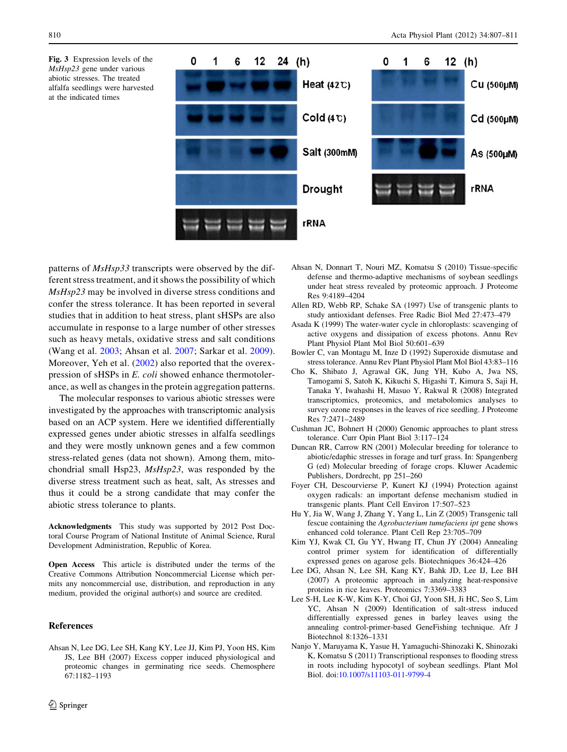<span id="page-3-0"></span>Fig. 3 Expression levels of the MsHsp23 gene under various abiotic stresses. The treated alfalfa seedlings were harvested at the indicated times



patterns of  $MsHsp33$  transcripts were observed by the different stress treatment, and it shows the possibility of which MsHsp23 may be involved in diverse stress conditions and confer the stress tolerance. It has been reported in several studies that in addition to heat stress, plant sHSPs are also accumulate in response to a large number of other stresses such as heavy metals, oxidative stress and salt conditions (Wang et al. [2003](#page-4-0); Ahsan et al. 2007; Sarkar et al. [2009](#page-4-0)). Moreover, Yeh et al. [\(2002\)](#page-4-0) also reported that the overexpression of sHSPs in E. coli showed enhance thermotolerance, as well as changes in the protein aggregation patterns.

The molecular responses to various abiotic stresses were investigated by the approaches with transcriptomic analysis based on an ACP system. Here we identified differentially expressed genes under abiotic stresses in alfalfa seedlings and they were mostly unknown genes and a few common stress-related genes (data not shown). Among them, mitochondrial small Hsp23, MsHsp23, was responded by the diverse stress treatment such as heat, salt, As stresses and thus it could be a strong candidate that may confer the abiotic stress tolerance to plants.

Acknowledgments This study was supported by 2012 Post Doctoral Course Program of National Institute of Animal Science, Rural Development Administration, Republic of Korea.

Open Access This article is distributed under the terms of the Creative Commons Attribution Noncommercial License which permits any noncommercial use, distribution, and reproduction in any medium, provided the original author(s) and source are credited.

#### References

Ahsan N, Lee DG, Lee SH, Kang KY, Lee JJ, Kim PJ, Yoon HS, Kim JS, Lee BH (2007) Excess copper induced physiological and proteomic changes in germinating rice seeds. Chemosphere 67:1182–1193

- Ahsan N, Donnart T, Nouri MZ, Komatsu S (2010) Tissue-specific defense and thermo-adaptive mechanisms of soybean seedlings under heat stress revealed by proteomic approach. J Proteome Res 9:4189–4204
- Allen RD, Webb RP, Schake SA (1997) Use of transgenic plants to study antioxidant defenses. Free Radic Biol Med 27:473–479
- Asada K (1999) The water-water cycle in chloroplasts: scavenging of active oxygens and dissipation of excess photons. Annu Rev Plant Physiol Plant Mol Biol 50:601–639
- Bowler C, van Montagu M, Inze D (1992) Superoxide dismutase and stress tolerance. Annu Rev Plant Physiol Plant Mol Biol 43:83–116
- Cho K, Shibato J, Agrawal GK, Jung YH, Kubo A, Jwa NS, Tamogami S, Satoh K, Kikuchi S, Higashi T, Kimura S, Saji H, Tanaka Y, Iwahashi H, Masuo Y, Rakwal R (2008) Integrated transcriptomics, proteomics, and metabolomics analyses to survey ozone responses in the leaves of rice seedling. J Proteome Res 7:2471–2489
- Cushman JC, Bohnert H (2000) Genomic approaches to plant stress tolerance. Curr Opin Plant Biol 3:117–124
- Duncan RR, Carrow RN (2001) Molecular breeding for tolerance to abiotic/edaphic stresses in forage and turf grass. In: Spangenberg G (ed) Molecular breeding of forage crops. Kluwer Academic Publishers, Dordrecht, pp 251–260
- Foyer CH, Descourvierse P, Kunert KJ (1994) Protection against oxygen radicals: an important defense mechanism studied in transgenic plants. Plant Cell Environ 17:507–523
- Hu Y, Jia W, Wang J, Zhang Y, Yang L, Lin Z (2005) Transgenic tall fescue containing the Agrobacterium tumefaciens ipt gene shows enhanced cold tolerance. Plant Cell Rep 23:705–709
- Kim YJ, Kwak CI, Gu YY, Hwang IT, Chun JY (2004) Annealing control primer system for identification of differentially expressed genes on agarose gels. Biotechniques 36:424–426
- Lee DG, Ahsan N, Lee SH, Kang KY, Bahk JD, Lee IJ, Lee BH (2007) A proteomic approach in analyzing heat-responsive proteins in rice leaves. Proteomics 7:3369–3383
- Lee S-H, Lee K-W, Kim K-Y, Choi GJ, Yoon SH, Ji HC, Seo S, Lim YC, Ahsan N (2009) Identification of salt-stress induced differentially expressed genes in barley leaves using the annealing control-primer-based GeneFishing technique. Afr J Biotechnol 8:1326–1331
- Nanjo Y, Maruyama K, Yasue H, Yamaguchi-Shinozaki K, Shinozaki K, Komatsu S (2011) Transcriptional responses to flooding stress in roots including hypocotyl of soybean seedlings. Plant Mol Biol. doi:[10.1007/s11103-011-9799-4](http://dx.doi.org/10.1007/s11103-011-9799-4)